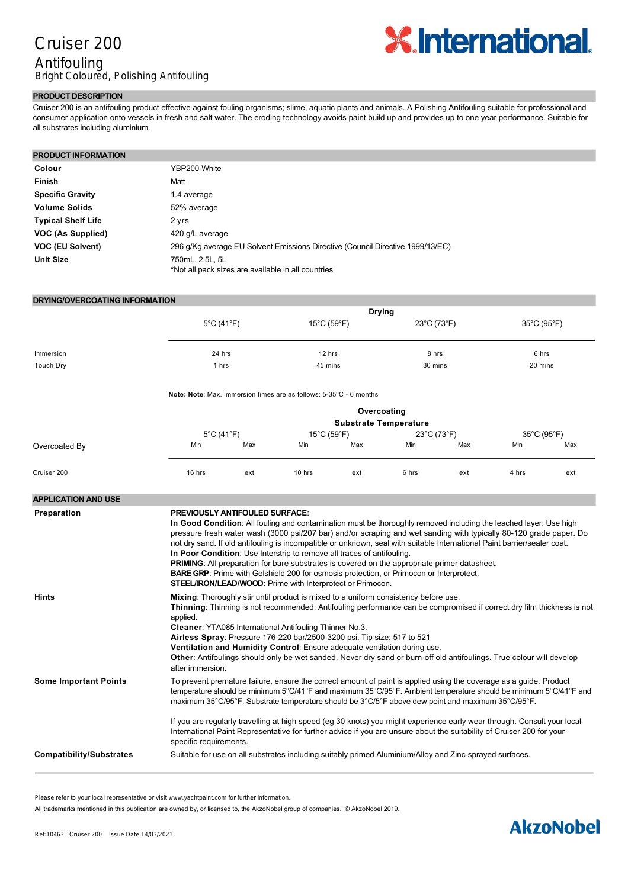## Cruiser 200 Antifouling Bright Coloured, Polishing Antifouling



#### **PRODUCT DESCRIPTION**

Cruiser 200 is an antifouling product effective against fouling organisms; slime, aquatic plants and animals. A Polishing Antifouling suitable for professional and consumer application onto vessels in fresh and salt water. The eroding technology avoids paint build up and provides up to one year performance. Suitable for all substrates including aluminium.

#### **PRODUCT INFORMATION**

| Colour                    | YBP200-White                                                                   |
|---------------------------|--------------------------------------------------------------------------------|
| <b>Finish</b>             | Matt                                                                           |
| <b>Specific Gravity</b>   | 1.4 average                                                                    |
| <b>Volume Solids</b>      | 52% average                                                                    |
| <b>Typical Shelf Life</b> | 2 yrs                                                                          |
| VOC (As Supplied)         | 420 g/L average                                                                |
| VOC (EU Solvent)          | 296 g/Kg average EU Solvent Emissions Directive (Council Directive 1999/13/EC) |
| <b>Unit Size</b>          | 750mL, 2.5L, 5L<br>*Not all pack sizes are available in all countries          |

| DRYING/OVERCOATING INFORMATION |                                       |        |                                                                                                                                                                                                                                         |        |                                  |       |                                  |       |  |  |
|--------------------------------|---------------------------------------|--------|-----------------------------------------------------------------------------------------------------------------------------------------------------------------------------------------------------------------------------------------|--------|----------------------------------|-------|----------------------------------|-------|--|--|
|                                | <b>Drying</b>                         |        |                                                                                                                                                                                                                                         |        |                                  |       |                                  |       |  |  |
|                                | $5^{\circ}$ C (41 $^{\circ}$ F)       |        | $15^{\circ}$ C (59 $^{\circ}$ F)                                                                                                                                                                                                        |        | $23^{\circ}$ C (73 $^{\circ}$ F) |       | 35°C (95°F)                      |       |  |  |
|                                |                                       |        |                                                                                                                                                                                                                                         |        |                                  |       |                                  |       |  |  |
| Immersion                      |                                       | 24 hrs |                                                                                                                                                                                                                                         | 12 hrs |                                  | 8 hrs |                                  | 6 hrs |  |  |
| <b>Touch Dry</b>               | 1 hrs                                 |        | 45 mins                                                                                                                                                                                                                                 |        | 30 mins                          |       | 20 mins                          |       |  |  |
|                                |                                       |        | <b>Note: Note:</b> Max. immersion times are as follows: 5-35°C - 6 months                                                                                                                                                               |        |                                  |       |                                  |       |  |  |
|                                | Overcoating                           |        |                                                                                                                                                                                                                                         |        |                                  |       |                                  |       |  |  |
|                                | <b>Substrate Temperature</b>          |        |                                                                                                                                                                                                                                         |        |                                  |       |                                  |       |  |  |
|                                | 5°C (41°F)                            |        | $15^{\circ}$ C (59 $^{\circ}$ F)                                                                                                                                                                                                        |        | $23^{\circ}$ C (73 $^{\circ}$ F) |       | $35^{\circ}$ C (95 $^{\circ}$ F) |       |  |  |
| Overcoated By                  | Min                                   | Max    | Min                                                                                                                                                                                                                                     | Max    | Min                              | Max   | Min                              | Max   |  |  |
| Cruiser 200                    | $16$ hrs                              | ext    | 10 hrs                                                                                                                                                                                                                                  | ext    | 6 hrs                            | ext   | 4 hrs                            | ext   |  |  |
| <b>APPLICATION AND USE</b>     |                                       |        |                                                                                                                                                                                                                                         |        |                                  |       |                                  |       |  |  |
| Preparation                    | <b>PREVIOUSLY ANTIFOULED SURFACE:</b> |        | In Good Condition: All fouling and contamination must be thoroughly removed including the leached layer. Use high<br>pressure fresh water wash (3000 psi/207 bar) and/or scraping and wet sanding with typically 80-120 grade paper. Do |        |                                  |       |                                  |       |  |  |

|                              | not dry sand. If old antifouling is incompatible or unknown, seal with suitable International Paint barrier/sealer coat.<br>In Poor Condition: Use Interstrip to remove all traces of antifouling.<br><b>PRIMING:</b> All preparation for bare substrates is covered on the appropriate primer datasheet.<br><b>BARE GRP:</b> Prime with Gelshield 200 for osmosis protection, or Primocon or Interprotect.<br><b>STEEL/IRON/LEAD/WOOD:</b> Prime with Interprotect or Primocon. |
|------------------------------|----------------------------------------------------------------------------------------------------------------------------------------------------------------------------------------------------------------------------------------------------------------------------------------------------------------------------------------------------------------------------------------------------------------------------------------------------------------------------------|
| <b>Hints</b>                 | Mixing: Thoroughly stir until product is mixed to a uniform consistency before use.<br>Thinning: Thinning is not recommended. Antifouling performance can be compromised if correct dry film thickness is not<br>applied.                                                                                                                                                                                                                                                        |
|                              | Cleaner: YTA085 International Antifouling Thinner No.3.                                                                                                                                                                                                                                                                                                                                                                                                                          |
|                              | Airless Spray: Pressure 176-220 bar/2500-3200 psi. Tip size: 517 to 521                                                                                                                                                                                                                                                                                                                                                                                                          |
|                              | Ventilation and Humidity Control: Ensure adequate ventilation during use.                                                                                                                                                                                                                                                                                                                                                                                                        |
|                              | Other: Antifoulings should only be wet sanded. Never dry sand or burn-off old antifoulings. True colour will develop<br>after immersion.                                                                                                                                                                                                                                                                                                                                         |
| <b>Some Important Points</b> | To prevent premature failure, ensure the correct amount of paint is applied using the coverage as a guide. Product<br>temperature should be minimum 5°C/41°F and maximum 35°C/95°F. Ambient temperature should be minimum 5°C/41°F and<br>maximum 35°C/95°F. Substrate temperature should be 3°C/5°F above dew point and maximum 35°C/95°F.                                                                                                                                      |
|                              | If you are regularly travelling at high speed (eg 30 knots) you might experience early wear through. Consult your local<br>International Paint Representative for further advice if you are unsure about the suitability of Cruiser 200 for your<br>specific requirements.                                                                                                                                                                                                       |
| Compatibility/Substrates     | Suitable for use on all substrates including suitably primed Aluminium/Alloy and Zinc-sprayed surfaces.                                                                                                                                                                                                                                                                                                                                                                          |

VC17m/PTFE antifoulings. Consult your local International Paint representative for specific overcoating advice if you are

Please refer to your local representative or visit www.yachtpaint.com for further information.

All trademarks mentioned in this publication are owned by, or licensed to, the AkzoNobel group of companies. © AkzoNobel 2019.